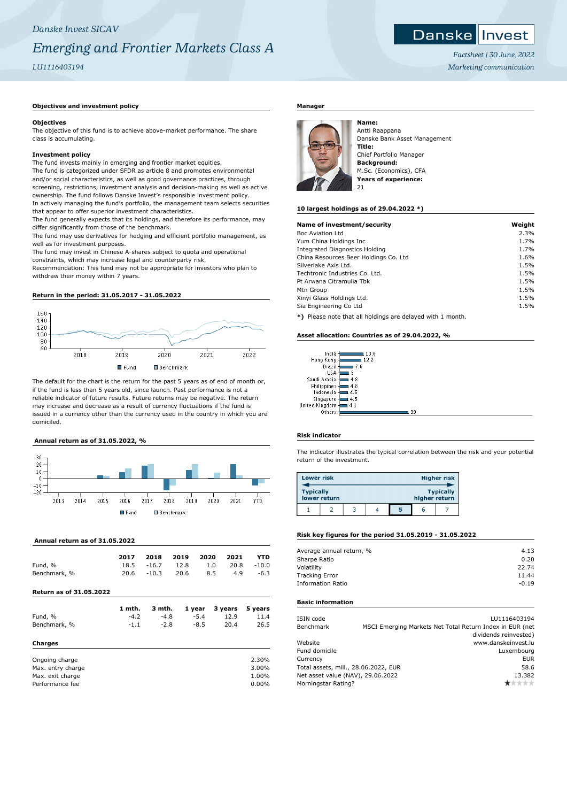## *Danske Invest SICAV Emerging and Frontier Markets Class A LU1116403194*

## **Objectives and investment policy**

### **Objectives**

The objective of this fund is to achieve above-market performance. The share class is accumulating.

## **Investment policy**

The fund invests mainly in emerging and frontier market equities. The fund is categorized under SFDR as article 8 and promotes environmental and/or social characteristics, as well as good governance practices, through screening, restrictions, investment analysis and decision-making as well as active ownership. The fund follows Danske Invest's responsible investment policy. In actively managing the fund's portfolio, the management team selects securities that appear to offer superior investment characteristics.

The fund generally expects that its holdings, and therefore its performance, may differ significantly from those of the benchmark.

The fund may use derivatives for hedging and efficient portfolio management, as well as for investment purposes.

The fund may invest in Chinese A-shares subject to quota and operational constraints, which may increase legal and counterparty risk.

Recommendation: This fund may not be appropriate for investors who plan to withdraw their money within 7 years.

### **Return in the period: 31.05.2017 - 31.05.2022**



The default for the chart is the return for the past 5 years as of end of month or, if the fund is less than 5 years old, since launch. Past performance is not a reliable indicator of future results. Future returns may be negative. The return may increase and decrease as a result of currency fluctuations if the fund is issued in a currency other than the currency used in the country in which you are domiciled.

## **Annual return as of 31.05.2022, %**



## **Annual return as of 31.05.2022**

|              | 2017 |               | 2018 2019 2020 2021 |     |            | <b>YTD</b> |
|--------------|------|---------------|---------------------|-----|------------|------------|
| Fund, %      |      | 18.5 - 16.7   | 12.8 1.0            |     | 20.8 -10.0 |            |
| Benchmark, % |      | $20.6 - 10.3$ | 20.6                | 8.5 | 4.9        | -6.3       |

### **Return as of 31.05.2022**

|                   | 1 mth. | 3 mth. | 1 year | 3 years | 5 years  |
|-------------------|--------|--------|--------|---------|----------|
| Fund, %           | $-4.2$ | $-4.8$ | $-5.4$ | 12.9    | 11.4     |
| Benchmark, %      | $-1.1$ | $-2.8$ | $-8.5$ | 20.4    | 26.5     |
| Charges           |        |        |        |         |          |
| Ongoing charge    |        |        |        |         | 2.30%    |
| Max. entry charge |        |        |        |         | 3.00%    |
| Max. exit charge  |        |        |        |         | 1.00%    |
| Performance fee   |        |        |        |         | $0.00\%$ |

## **Manager**



Antti Raappana Danske Bank Asset Management **Title:** Chief Portfolio Manager **Background:** M.Sc. (Economics), CFA **Years of experience:**  $2<sub>1</sub>$ 

### **10 largest holdings as of 29.04.2022 \*)**

| Name of investment/security           | Weight |
|---------------------------------------|--------|
| Boc Aviation Ltd                      | 2.3%   |
| Yum China Holdings Inc                | 1.7%   |
| Integrated Diagnostics Holding        | 1.7%   |
| China Resources Beer Holdings Co. Ltd | 1.6%   |
| Silverlake Axis Ltd.                  | 1.5%   |
| Techtronic Industries Co. Ltd.        | 1.5%   |
| Pt Arwana Citramulia Tbk              | 1.5%   |
| Mtn Group                             | 1.5%   |
| Xinyi Glass Holdings Ltd.             | 1.5%   |
| Sia Engineering Co Ltd                | 1.5%   |
| ****************************          |        |

**\*)** Please note that all holdings are delayed with 1 month.

## **Asset allocation: Countries as of 29.04.2022, %**

| India         | 13.6 |
|---------------|------|
| Hong Kong     | 12.2 |
| Brazil        | 7.6  |
| <b>USA</b>    | 5    |
| Saudi Arabia  | 4.8  |
| Philippines   | 4.8  |
| Indonesia     | 4.5  |
| Singapore     | 4.5  |
| nited Kingdom | 4.1  |
| ∩thers        |      |

## **Risk indicator**

 $\overline{1}$ 

The indicator illustrates the typical correlation between the risk and your potential return of the investment.

 $\blacksquare$  39

| <b>Lower risk</b> |              |  |   |               | <b>Higher risk</b> |
|-------------------|--------------|--|---|---------------|--------------------|
| <b>Typically</b>  | lower return |  |   | higher return | <b>Typically</b>   |
|                   |              |  | 5 |               |                    |

### **Risk key figures for the period 31.05.2019 - 31.05.2022**

| Average annual return, % | 4.13    |
|--------------------------|---------|
| Sharpe Ratio             | 0.20    |
| Volatility               | 22.74   |
| <b>Tracking Error</b>    | 11.44   |
| <b>Information Ratio</b> | $-0.19$ |
|                          |         |

### **Basic information**

| ISIN code                            | LU1116403194                                             |
|--------------------------------------|----------------------------------------------------------|
| Benchmark                            | MSCI Emerging Markets Net Total Return Index in EUR (net |
|                                      | dividends reinvested)                                    |
| Website                              | www.danskeinvest.lu                                      |
| Fund domicile                        | Luxembourg                                               |
| Currency                             | <b>EUR</b>                                               |
| Total assets, mill., 28.06.2022, EUR | 58.6                                                     |
| Net asset value (NAV), 29.06.2022    | 13.382                                                   |
| Morningstar Rating?                  | nin ikrik                                                |
|                                      |                                                          |



*Factsheet | 30 June, 2022 Marketing communication*